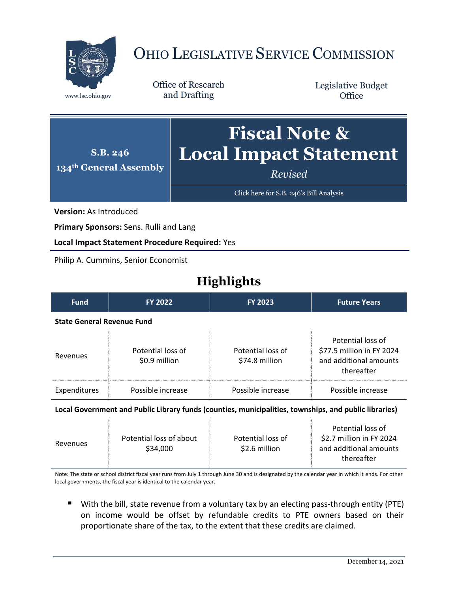

# OHIO LEGISLATIVE SERVICE COMMISSION

Office of Research www.lsc.ohio.gov and Drafting

Legislative Budget **Office** 



[Click here for S.B. 246](https://www.legislature.ohio.gov/legislation/legislation-documents?id=GA134-SB-246)'s Bill Analysis

**Version:** As Introduced

**Primary Sponsors:** Sens. Rulli and Lang

**Local Impact Statement Procedure Required:** Yes

Philip A. Cummins, Senior Economist

# **Highlights**

| <b>Fund</b>                                                                                           | <b>FY 2022</b>                     | <b>FY 2023</b>                      | <b>Future Years</b>                                                                    |  |  |
|-------------------------------------------------------------------------------------------------------|------------------------------------|-------------------------------------|----------------------------------------------------------------------------------------|--|--|
| <b>State General Revenue Fund</b>                                                                     |                                    |                                     |                                                                                        |  |  |
| Revenues                                                                                              | Potential loss of<br>\$0.9 million | Potential loss of<br>\$74.8 million | Potential loss of<br>\$77.5 million in FY 2024<br>and additional amounts<br>thereafter |  |  |
| Expenditures                                                                                          | Possible increase                  | Possible increase                   | Possible increase                                                                      |  |  |
| Local Government and Public Library funds (counties, municipalities, townships, and public libraries) |                                    |                                     |                                                                                        |  |  |

| Revenues | Potential loss of about<br>\$34,000 | Potential loss of<br>\$2.6 million | Potential loss of<br>\$2.7 million in FY 2024<br>and additional amounts<br>thereafter |
|----------|-------------------------------------|------------------------------------|---------------------------------------------------------------------------------------|
|          |                                     |                                    |                                                                                       |

Note: The state or school district fiscal year runs from July 1 through June 30 and is designated by the calendar year in which it ends. For other local governments, the fiscal year is identical to the calendar year.

 With the bill, state revenue from a voluntary tax by an electing pass-through entity (PTE) on income would be offset by refundable credits to PTE owners based on their proportionate share of the tax, to the extent that these credits are claimed.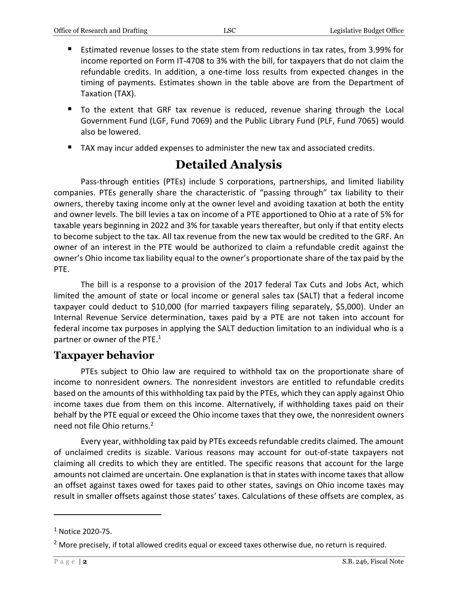- Estimated revenue losses to the state stem from reductions in tax rates, from 3.99% for income reported on Form IT-4708 to 3% with the bill, for taxpayers that do not claim the refundable credits. In addition, a one-time loss results from expected changes in the timing of payments. Estimates shown in the table above are from the Department of Taxation (TAX).
- To the extent that GRF tax revenue is reduced, revenue sharing through the Local Government Fund (LGF, Fund 7069) and the Public Library Fund (PLF, Fund 7065) would also be lowered.
- TAX may incur added expenses to administer the new tax and associated credits.

# **Detailed Analysis**

Pass-through entities (PTEs) include S corporations, partnerships, and limited liability companies. PTEs generally share the characteristic of "passing through" tax liability to their owners, thereby taxing income only at the owner level and avoiding taxation at both the entity and owner levels. The bill levies a tax on income of a PTE apportioned to Ohio at a rate of 5% for taxable years beginning in 2022 and 3% for taxable years thereafter, but only if that entity elects to become subject to the tax. All tax revenue from the new tax would be credited to the GRF. An owner of an interest in the PTE would be authorized to claim a refundable credit against the owner's Ohio income tax liability equal to the owner's proportionate share of the tax paid by the PTE.

The bill is a response to a provision of the 2017 federal Tax Cuts and Jobs Act, which limited the amount of state or local income or general sales tax (SALT) that a federal income taxpayer could deduct to \$10,000 (for married taxpayers filing separately, \$5,000). Under an Internal Revenue Service determination, taxes paid by a PTE are not taken into account for federal income tax purposes in applying the SALT deduction limitation to an individual who is a partner or owner of the PTE.<sup>1</sup>

## **Taxpayer behavior**

PTEs subject to Ohio law are required to withhold tax on the proportionate share of income to nonresident owners. The nonresident investors are entitled to refundable credits based on the amounts of this withholding tax paid by the PTEs, which they can apply against Ohio income taxes due from them on this income. Alternatively, if withholding taxes paid on their behalf by the PTE equal or exceed the Ohio income taxes that they owe, the nonresident owners need not file Ohio returns. 2

Every year, withholding tax paid by PTEs exceeds refundable credits claimed. The amount of unclaimed credits is sizable. Various reasons may account for out-of-state taxpayers not claiming all credits to which they are entitled. The specific reasons that account for the large amounts not claimed are uncertain. One explanation is that in states with income taxes that allow an offset against taxes owed for taxes paid to other states, savings on Ohio income taxes may result in smaller offsets against those states' taxes. Calculations of these offsets are complex, as

 $\overline{a}$ 

 $1$  Notice 2020-75.

 $<sup>2</sup>$  More precisely, if total allowed credits equal or exceed taxes otherwise due, no return is required.</sup>